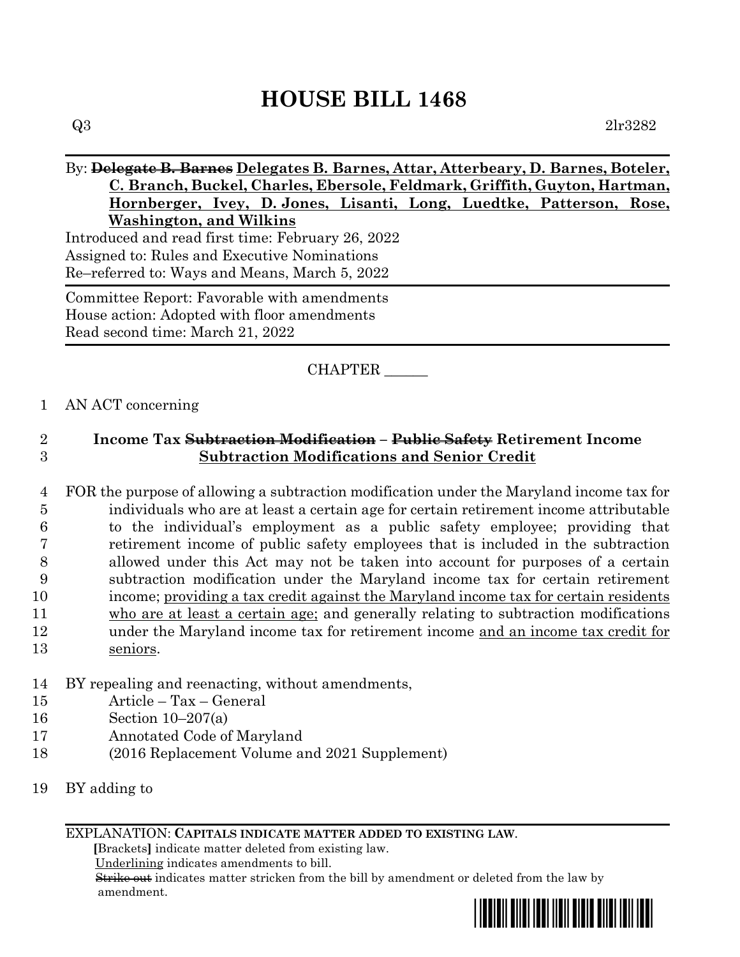# **HOUSE BILL 1468**

### By: **Delegate B. Barnes Delegates B. Barnes, Attar, Atterbeary, D. Barnes, Boteler, C. Branch, Buckel, Charles, Ebersole, Feldmark, Griffith, Guyton, Hartman, Hornberger, Ivey, D. Jones, Lisanti, Long, Luedtke, Patterson, Rose, Washington, and Wilkins**

Introduced and read first time: February 26, 2022 Assigned to: Rules and Executive Nominations Re–referred to: Ways and Means, March 5, 2022

Committee Report: Favorable with amendments House action: Adopted with floor amendments Read second time: March 21, 2022

# CHAPTER \_\_\_\_\_\_

### 1 AN ACT concerning

# 2 **Income Tax Subtraction Modification – Public Safety Retirement Income**  3 **Subtraction Modifications and Senior Credit**

- 4 FOR the purpose of allowing a subtraction modification under the Maryland income tax for 5 individuals who are at least a certain age for certain retirement income attributable 6 to the individual's employment as a public safety employee; providing that 7 retirement income of public safety employees that is included in the subtraction 8 allowed under this Act may not be taken into account for purposes of a certain 9 subtraction modification under the Maryland income tax for certain retirement 10 income; providing a tax credit against the Maryland income tax for certain residents 11 who are at least a certain age; and generally relating to subtraction modifications 12 under the Maryland income tax for retirement income and an income tax credit for 13 seniors.
- 14 BY repealing and reenacting, without amendments,
- 15 Article Tax General
- 16 Section 10–207(a)
- 17 Annotated Code of Maryland
- 18 (2016 Replacement Volume and 2021 Supplement)
- 19 BY adding to

### EXPLANATION: **CAPITALS INDICATE MATTER ADDED TO EXISTING LAW**.

 **[**Brackets**]** indicate matter deleted from existing law.

Underlining indicates amendments to bill.

 Strike out indicates matter stricken from the bill by amendment or deleted from the law by amendment.

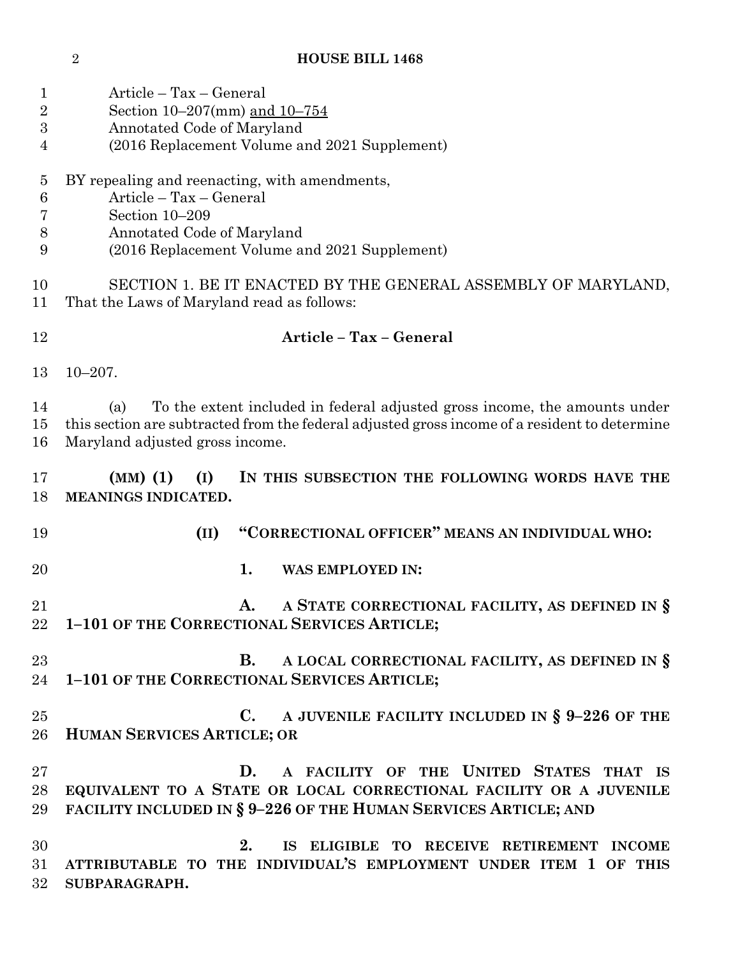# **HOUSE BILL 1468**

| $\mathbf{1}$    | Article – Tax – General                                                                                     |
|-----------------|-------------------------------------------------------------------------------------------------------------|
| $\overline{2}$  | Section 10–207(mm) and $10-754$                                                                             |
| 3               | Annotated Code of Maryland                                                                                  |
| 4               | (2016 Replacement Volume and 2021 Supplement)                                                               |
| $\overline{5}$  | BY repealing and reenacting, with amendments,                                                               |
| $6\phantom{.}6$ | Article - Tax - General                                                                                     |
| 7               | Section 10-209                                                                                              |
| 8               | Annotated Code of Maryland                                                                                  |
| 9               | (2016 Replacement Volume and 2021 Supplement)                                                               |
| 10<br>11        | SECTION 1. BE IT ENACTED BY THE GENERAL ASSEMBLY OF MARYLAND,<br>That the Laws of Maryland read as follows: |
| 12              | Article - Tax - General                                                                                     |
| 13              | $10 - 207$ .                                                                                                |
|                 |                                                                                                             |
| 14              | To the extent included in federal adjusted gross income, the amounts under<br>(a)                           |
| 15              | this section are subtracted from the federal adjusted gross income of a resident to determine               |
| 16              | Maryland adjusted gross income.                                                                             |
| 17              | $(MM)$ (1)<br>(I)<br>IN THIS SUBSECTION THE FOLLOWING WORDS HAVE THE                                        |
| 18              | MEANINGS INDICATED.                                                                                         |
| 19              | "CORRECTIONAL OFFICER" MEANS AN INDIVIDUAL WHO:<br>(II)                                                     |
| 20              | 1.<br><b>WAS EMPLOYED IN:</b>                                                                               |
| 21              | A STATE CORRECTIONAL FACILITY, AS DEFINED IN §<br>A.                                                        |
| 22              | 1-101 OF THE CORRECTIONAL SERVICES ARTICLE;                                                                 |
| 23              | A LOCAL CORRECTIONAL FACILITY, AS DEFINED IN §<br><b>B.</b>                                                 |
| 24              | 1-101 OF THE CORRECTIONAL SERVICES ARTICLE;                                                                 |
|                 |                                                                                                             |
| 25              | $\bf C.$<br>A JUVENILE FACILITY INCLUDED IN $\S$ 9-226 OF THE                                               |
| 26              | <b>HUMAN SERVICES ARTICLE; OR</b>                                                                           |
| 27              | A FACILITY OF THE UNITED STATES THAT IS<br>D.                                                               |
| 28              | EQUIVALENT TO A STATE OR LOCAL CORRECTIONAL FACILITY OR A JUVENILE                                          |
| 29              | FACILITY INCLUDED IN § 9-226 OF THE HUMAN SERVICES ARTICLE; AND                                             |
| 30              | 2.<br>IS ELIGIBLE TO RECEIVE RETIREMENT INCOME                                                              |
| 31              | ATTRIBUTABLE TO THE INDIVIDUAL'S EMPLOYMENT UNDER ITEM 1 OF THIS                                            |
| 32              | SUBPARAGRAPH.                                                                                               |
|                 |                                                                                                             |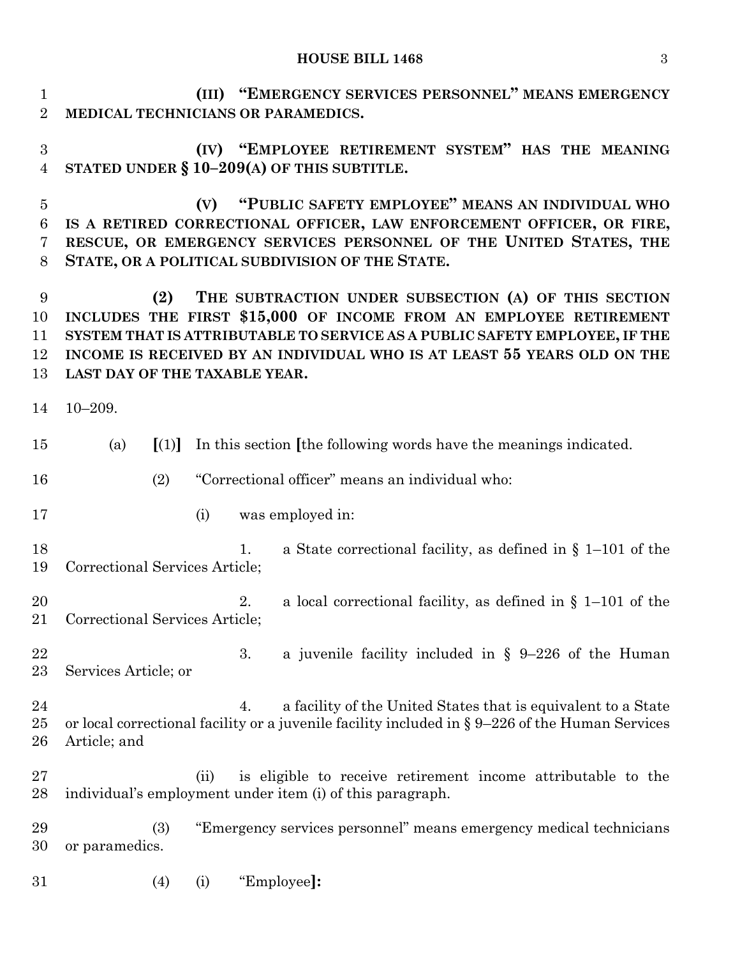#### **HOUSE BILL 1468** 3

 **(III) "EMERGENCY SERVICES PERSONNEL" MEANS EMERGENCY MEDICAL TECHNICIANS OR PARAMEDICS.**

 **(IV) "EMPLOYEE RETIREMENT SYSTEM" HAS THE MEANING STATED UNDER § 10–209(A) OF THIS SUBTITLE.**

 **(V) "PUBLIC SAFETY EMPLOYEE" MEANS AN INDIVIDUAL WHO IS A RETIRED CORRECTIONAL OFFICER, LAW ENFORCEMENT OFFICER, OR FIRE, RESCUE, OR EMERGENCY SERVICES PERSONNEL OF THE UNITED STATES, THE STATE, OR A POLITICAL SUBDIVISION OF THE STATE.**

 **(2) THE SUBTRACTION UNDER SUBSECTION (A) OF THIS SECTION INCLUDES THE FIRST \$15,000 OF INCOME FROM AN EMPLOYEE RETIREMENT SYSTEM THAT IS ATTRIBUTABLE TO SERVICE AS A PUBLIC SAFETY EMPLOYEE, IF THE INCOME IS RECEIVED BY AN INDIVIDUAL WHO IS AT LEAST 55 YEARS OLD ON THE LAST DAY OF THE TAXABLE YEAR.**

- 10–209.
- (a) **[**(1)**]** In this section **[**the following words have the meanings indicated.
- (2) "Correctional officer" means an individual who:
- (i) was employed in:
- 18 1. a State correctional facility, as defined in § 1–101 of the Correctional Services Article;
- 2. a local correctional facility, as defined in § 1–101 of the Correctional Services Article;
- 3. a juvenile facility included in § 9–226 of the Human Services Article; or
- 24 24 24 a facility of the United States that is equivalent to a State or local correctional facility or a juvenile facility included in § 9–226 of the Human Services Article; and
- (ii) is eligible to receive retirement income attributable to the individual's employment under item (i) of this paragraph.

 (3) "Emergency services personnel" means emergency medical technicians or paramedics.

(4) (i) "Employee**]:**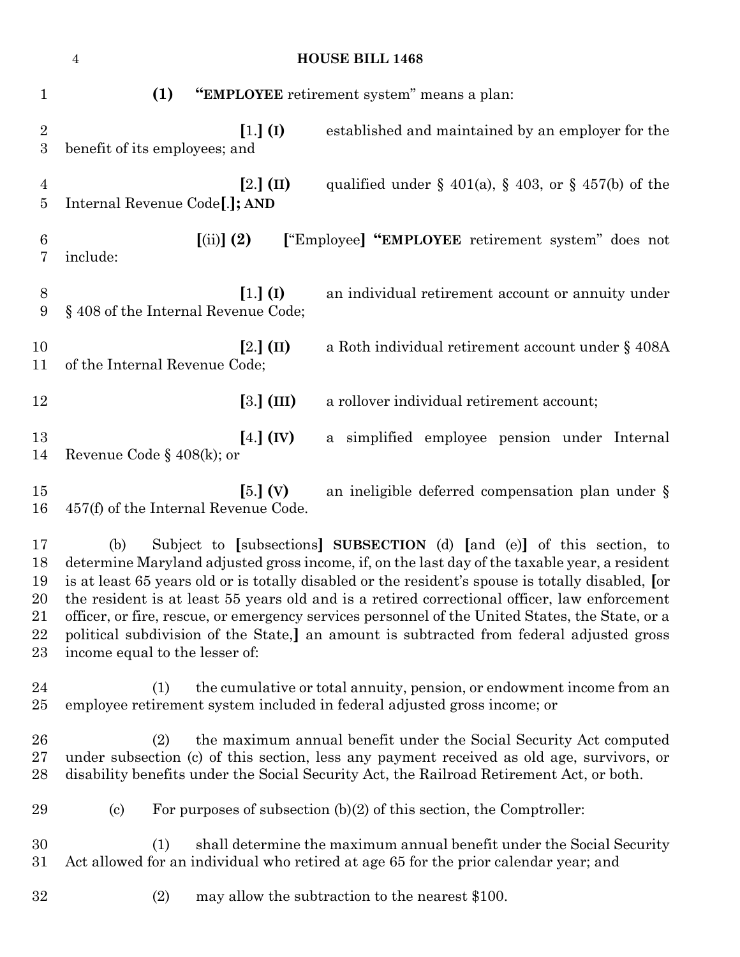|                                        | <b>HOUSE BILL 1468</b><br>$\sqrt{4}$                                                                                                                                                                                                                                                                                                                                                                                                                                                                                                                                                                                |
|----------------------------------------|---------------------------------------------------------------------------------------------------------------------------------------------------------------------------------------------------------------------------------------------------------------------------------------------------------------------------------------------------------------------------------------------------------------------------------------------------------------------------------------------------------------------------------------------------------------------------------------------------------------------|
| $\mathbf{1}$                           | (1)<br>"EMPLOYEE retirement system" means a plan:                                                                                                                                                                                                                                                                                                                                                                                                                                                                                                                                                                   |
| $\overline{2}$<br>$\boldsymbol{3}$     | $[1.]$ (I)<br>established and maintained by an employer for the<br>benefit of its employees; and                                                                                                                                                                                                                                                                                                                                                                                                                                                                                                                    |
| $\overline{4}$<br>$\bf{5}$             | $[2.]$ (II)<br>qualified under $\S$ 401(a), $\S$ 403, or $\S$ 457(b) of the<br>Internal Revenue Code <sup>[.]</sup> ; AND                                                                                                                                                                                                                                                                                                                                                                                                                                                                                           |
| 6<br>7                                 | $(iii)$ $(2)$<br>["Employee] "EMPLOYEE retirement system" does not<br>include:                                                                                                                                                                                                                                                                                                                                                                                                                                                                                                                                      |
| 8<br>9                                 | $[1.]$ (I)<br>an individual retirement account or annuity under<br>§ 408 of the Internal Revenue Code;                                                                                                                                                                                                                                                                                                                                                                                                                                                                                                              |
| 10<br>11                               | $[2.]$ (II)<br>a Roth individual retirement account under § 408A<br>of the Internal Revenue Code;                                                                                                                                                                                                                                                                                                                                                                                                                                                                                                                   |
| 12                                     | $[3.]$ (III)<br>a rollover individual retirement account;                                                                                                                                                                                                                                                                                                                                                                                                                                                                                                                                                           |
| 13<br>14                               | $[4.]$ (IV)<br>a simplified employee pension under Internal<br>Revenue Code § $408(k)$ ; or                                                                                                                                                                                                                                                                                                                                                                                                                                                                                                                         |
| 15<br>16                               | $[5.]$ (V)<br>an ineligible deferred compensation plan under §<br>457(f) of the Internal Revenue Code.                                                                                                                                                                                                                                                                                                                                                                                                                                                                                                              |
| 17<br>18<br>19<br>20<br>21<br>22<br>23 | Subject to [subsections] SUBSECTION (d) [and (e)] of this section, to<br>(b)<br>determine Maryland adjusted gross income, if, on the last day of the taxable year, a resident<br>is at least 65 years old or is totally disabled or the resident's spouse is totally disabled, [or<br>the resident is at least 55 years old and is a retired correctional officer, law enforcement<br>officer, or fire, rescue, or emergency services personnel of the United States, the State, or a<br>political subdivision of the State,] an amount is subtracted from federal adjusted gross<br>income equal to the lesser of: |
| 24<br>25                               | the cumulative or total annuity, pension, or endowment income from an<br>(1)<br>employee retirement system included in federal adjusted gross income; or                                                                                                                                                                                                                                                                                                                                                                                                                                                            |
| 26<br>$27\,$<br>28                     | the maximum annual benefit under the Social Security Act computed<br>(2)<br>under subsection (c) of this section, less any payment received as old age, survivors, or<br>disability benefits under the Social Security Act, the Railroad Retirement Act, or both.                                                                                                                                                                                                                                                                                                                                                   |
| 29                                     | For purposes of subsection $(b)(2)$ of this section, the Comptroller:<br>$\left( \text{c}\right)$                                                                                                                                                                                                                                                                                                                                                                                                                                                                                                                   |
| 30<br>$31\,$                           | shall determine the maximum annual benefit under the Social Security<br>(1)<br>Act allowed for an individual who retired at age 65 for the prior calendar year; and                                                                                                                                                                                                                                                                                                                                                                                                                                                 |
| 32                                     | (2)<br>may allow the subtraction to the nearest \$100.                                                                                                                                                                                                                                                                                                                                                                                                                                                                                                                                                              |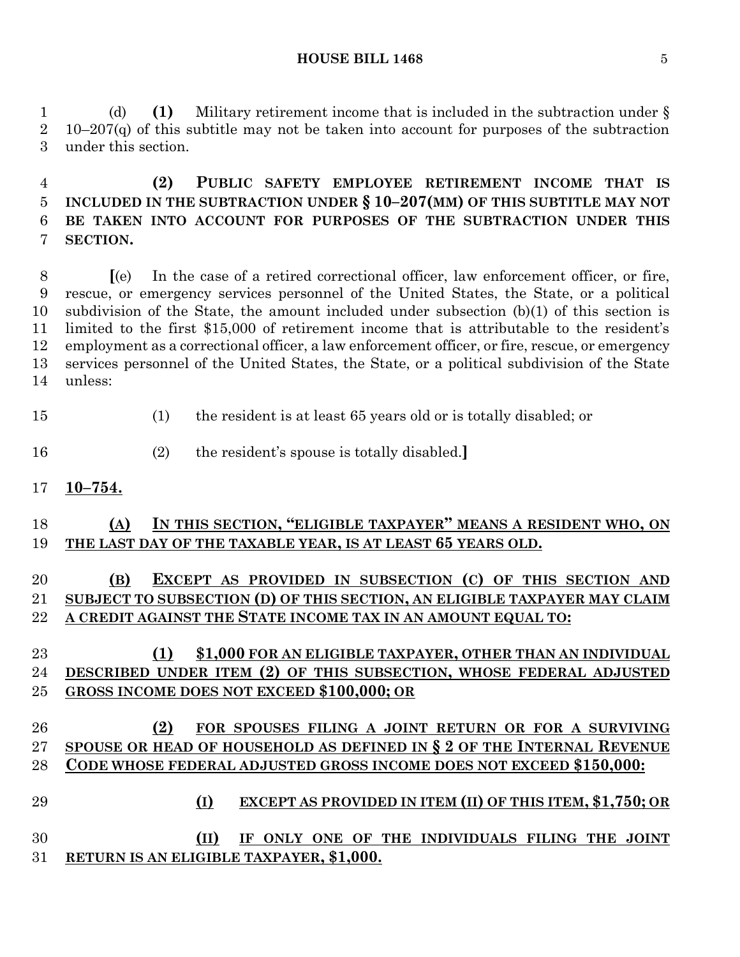(d) **(1)** Military retirement income that is included in the subtraction under § 10–207(q) of this subtitle may not be taken into account for purposes of the subtraction under this section.

 **(2) PUBLIC SAFETY EMPLOYEE RETIREMENT INCOME THAT IS INCLUDED IN THE SUBTRACTION UNDER § 10–207(MM) OF THIS SUBTITLE MAY NOT BE TAKEN INTO ACCOUNT FOR PURPOSES OF THE SUBTRACTION UNDER THIS SECTION.**

 **[**(e) In the case of a retired correctional officer, law enforcement officer, or fire, rescue, or emergency services personnel of the United States, the State, or a political subdivision of the State, the amount included under subsection (b)(1) of this section is limited to the first \$15,000 of retirement income that is attributable to the resident's employment as a correctional officer, a law enforcement officer, or fire, rescue, or emergency services personnel of the United States, the State, or a political subdivision of the State unless:

- (1) the resident is at least 65 years old or is totally disabled; or
- (2) the resident's spouse is totally disabled.**]**
- **10–754.**

### **(A) IN THIS SECTION, "ELIGIBLE TAXPAYER" MEANS A RESIDENT WHO, ON THE LAST DAY OF THE TAXABLE YEAR, IS AT LEAST 65 YEARS OLD.**

# **(B) EXCEPT AS PROVIDED IN SUBSECTION (C) OF THIS SECTION AND SUBJECT TO SUBSECTION (D) OF THIS SECTION, AN ELIGIBLE TAXPAYER MAY CLAIM A CREDIT AGAINST THE STATE INCOME TAX IN AN AMOUNT EQUAL TO:**

### **(1) \$1,000 FOR AN ELIGIBLE TAXPAYER, OTHER THAN AN INDIVIDUAL DESCRIBED UNDER ITEM (2) OF THIS SUBSECTION, WHOSE FEDERAL ADJUSTED GROSS INCOME DOES NOT EXCEED \$100,000; OR**

### **(2) FOR SPOUSES FILING A JOINT RETURN OR FOR A SURVIVING SPOUSE OR HEAD OF HOUSEHOLD AS DEFINED IN § 2 OF THE INTERNAL REVENUE CODE WHOSE FEDERAL ADJUSTED GROSS INCOME DOES NOT EXCEED \$150,000:**

- **(I) EXCEPT AS PROVIDED IN ITEM (II) OF THIS ITEM, \$1,750; OR (II) IF ONLY ONE OF THE INDIVIDUALS FILING THE JOINT**
- **RETURN IS AN ELIGIBLE TAXPAYER, \$1,000.**

### **HOUSE BILL 1468** 5